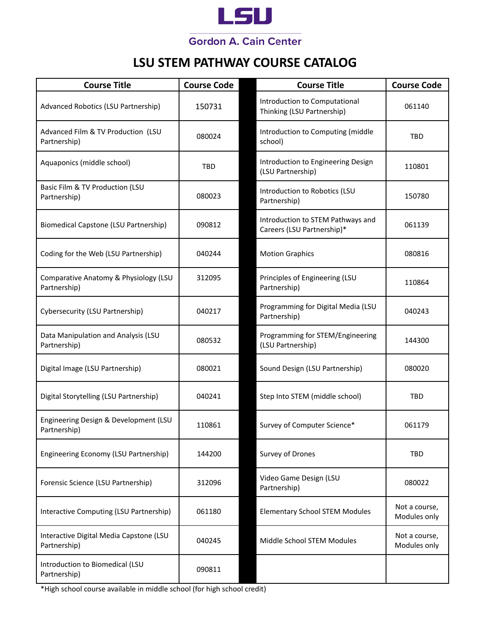

# **LSU STEM PATHWAY COURSE CATALOG**

| <b>Course Title</b>                                     | <b>Course Code</b> | <b>Course Title</b>                                             | <b>Course Code</b>            |
|---------------------------------------------------------|--------------------|-----------------------------------------------------------------|-------------------------------|
| Advanced Robotics (LSU Partnership)                     | 150731             | Introduction to Computational<br>Thinking (LSU Partnership)     | 061140                        |
| Advanced Film & TV Production (LSU<br>Partnership)      | 080024             | Introduction to Computing (middle<br>school)                    | <b>TBD</b>                    |
| Aquaponics (middle school)                              | <b>TBD</b>         | Introduction to Engineering Design<br>(LSU Partnership)         | 110801                        |
| Basic Film & TV Production (LSU<br>Partnership)         | 080023             | Introduction to Robotics (LSU<br>Partnership)                   | 150780                        |
| Biomedical Capstone (LSU Partnership)                   | 090812             | Introduction to STEM Pathways and<br>Careers (LSU Partnership)* | 061139                        |
| Coding for the Web (LSU Partnership)                    | 040244             | <b>Motion Graphics</b>                                          | 080816                        |
| Comparative Anatomy & Physiology (LSU<br>Partnership)   | 312095             | Principles of Engineering (LSU<br>Partnership)                  | 110864                        |
| Cybersecurity (LSU Partnership)                         | 040217             | Programming for Digital Media (LSU<br>Partnership)              | 040243                        |
| Data Manipulation and Analysis (LSU<br>Partnership)     | 080532             | Programming for STEM/Engineering<br>(LSU Partnership)           | 144300                        |
| Digital Image (LSU Partnership)                         | 080021             | Sound Design (LSU Partnership)                                  | 080020                        |
| Digital Storytelling (LSU Partnership)                  | 040241             | Step Into STEM (middle school)                                  | <b>TBD</b>                    |
| Engineering Design & Development (LSU<br>Partnership)   | 110861             | Survey of Computer Science*                                     | 061179                        |
| Engineering Economy (LSU Partnership)                   | 144200             | Survey of Drones                                                | TBD                           |
| Forensic Science (LSU Partnership)                      | 312096             | Video Game Design (LSU<br>Partnership)                          | 080022                        |
| Interactive Computing (LSU Partnership)                 | 061180             | <b>Elementary School STEM Modules</b>                           | Not a course,<br>Modules only |
| Interactive Digital Media Capstone (LSU<br>Partnership) | 040245             | Middle School STEM Modules                                      | Not a course,<br>Modules only |
| Introduction to Biomedical (LSU<br>Partnership)         | 090811             |                                                                 |                               |

\*High school course available in middle school (for high school credit)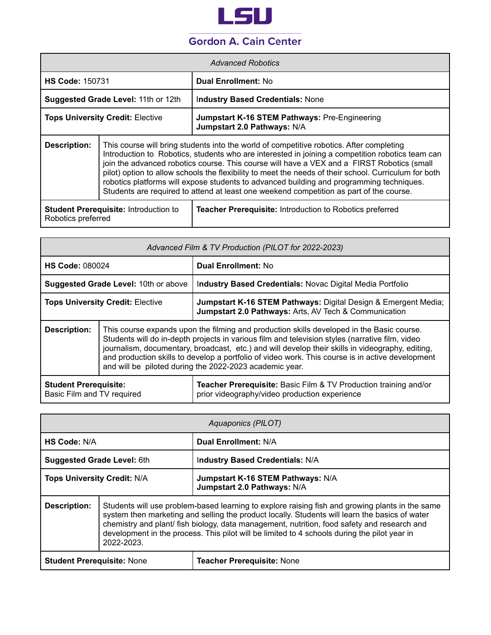

| <i>Advanced Robotics</i>                                                                                                              |                                                                                                                                                                                                                                                                                                                                                                                                                                                                                                                                                                                            |                                                                                     |
|---------------------------------------------------------------------------------------------------------------------------------------|--------------------------------------------------------------------------------------------------------------------------------------------------------------------------------------------------------------------------------------------------------------------------------------------------------------------------------------------------------------------------------------------------------------------------------------------------------------------------------------------------------------------------------------------------------------------------------------------|-------------------------------------------------------------------------------------|
| <b>HS Code: 150731</b>                                                                                                                |                                                                                                                                                                                                                                                                                                                                                                                                                                                                                                                                                                                            | <b>Dual Enrollment: No</b>                                                          |
| Suggested Grade Level: 11th or 12th                                                                                                   |                                                                                                                                                                                                                                                                                                                                                                                                                                                                                                                                                                                            | <b>Industry Based Credentials: None</b>                                             |
| <b>Tops University Credit: Elective</b>                                                                                               |                                                                                                                                                                                                                                                                                                                                                                                                                                                                                                                                                                                            | <b>Jumpstart K-16 STEM Pathways: Pre-Engineering</b><br>Jumpstart 2.0 Pathways: N/A |
| <b>Description:</b>                                                                                                                   | This course will bring students into the world of competitive robotics. After completing<br>Introduction to Robotics, students who are interested in joining a competition robotics team can<br>join the advanced robotics course. This course will have a VEX and a FIRST Robotics (small<br>pilot) option to allow schools the flexibility to meet the needs of their school. Curriculum for both<br>robotics platforms will expose students to advanced building and programming techniques.<br>Students are required to attend at least one weekend competition as part of the course. |                                                                                     |
| <b>Student Prerequisite: Introduction to</b><br><b>Teacher Prerequisite:</b> Introduction to Robotics preferred<br>Robotics preferred |                                                                                                                                                                                                                                                                                                                                                                                                                                                                                                                                                                                            |                                                                                     |

| Advanced Film & TV Production (PILOT for 2022-2023)                                                         |                                                                                                                                                                                                                                                                                                                                                                                                                                                                 |                                                                                                                         |
|-------------------------------------------------------------------------------------------------------------|-----------------------------------------------------------------------------------------------------------------------------------------------------------------------------------------------------------------------------------------------------------------------------------------------------------------------------------------------------------------------------------------------------------------------------------------------------------------|-------------------------------------------------------------------------------------------------------------------------|
| <b>HS Code: 080024</b>                                                                                      |                                                                                                                                                                                                                                                                                                                                                                                                                                                                 | <b>Dual Enrollment: No</b>                                                                                              |
| <b>Suggested Grade Level: 10th or above</b>                                                                 |                                                                                                                                                                                                                                                                                                                                                                                                                                                                 | Industry Based Credentials: Novac Digital Media Portfolio                                                               |
| <b>Tops University Credit: Elective</b>                                                                     |                                                                                                                                                                                                                                                                                                                                                                                                                                                                 | Jumpstart K-16 STEM Pathways: Digital Design & Emergent Media;<br>Jumpstart 2.0 Pathways: Arts, AV Tech & Communication |
| <b>Description:</b>                                                                                         | This course expands upon the filming and production skills developed in the Basic course.<br>Students will do in-depth projects in various film and television styles (narrative film, video<br>journalism, documentary, broadcast, etc.) and will develop their skills in videography, editing,<br>and production skills to develop a portfolio of video work. This course is in active development<br>and will be piloted during the 2022-2023 academic year. |                                                                                                                         |
| <b>Student Prerequisite:</b><br>prior videography/video production experience<br>Basic Film and TV required |                                                                                                                                                                                                                                                                                                                                                                                                                                                                 | <b>Teacher Prerequisite: Basic Film &amp; TV Production training and/or</b>                                             |

| Aquaponics (PILOT)                                                                                                                                                                                                                                                                                                                                                                                                             |  |                                                                  |
|--------------------------------------------------------------------------------------------------------------------------------------------------------------------------------------------------------------------------------------------------------------------------------------------------------------------------------------------------------------------------------------------------------------------------------|--|------------------------------------------------------------------|
| HS Code: N/A                                                                                                                                                                                                                                                                                                                                                                                                                   |  | Dual Enrollment: N/A                                             |
| <b>Suggested Grade Level: 6th</b>                                                                                                                                                                                                                                                                                                                                                                                              |  | <b>Industry Based Credentials: N/A</b>                           |
| <b>Tops University Credit: N/A</b>                                                                                                                                                                                                                                                                                                                                                                                             |  | Jumpstart K-16 STEM Pathways: N/A<br>Jumpstart 2.0 Pathways: N/A |
| Description:<br>Students will use problem-based learning to explore raising fish and growing plants in the same<br>system then marketing and selling the product locally. Students will learn the basics of water<br>chemistry and plant/ fish biology, data management, nutrition, food safety and research and<br>development in the process. This pilot will be limited to 4 schools during the pilot year in<br>2022-2023. |  |                                                                  |
| <b>Student Prerequisite: None</b><br><b>Teacher Prerequisite: None</b>                                                                                                                                                                                                                                                                                                                                                         |  |                                                                  |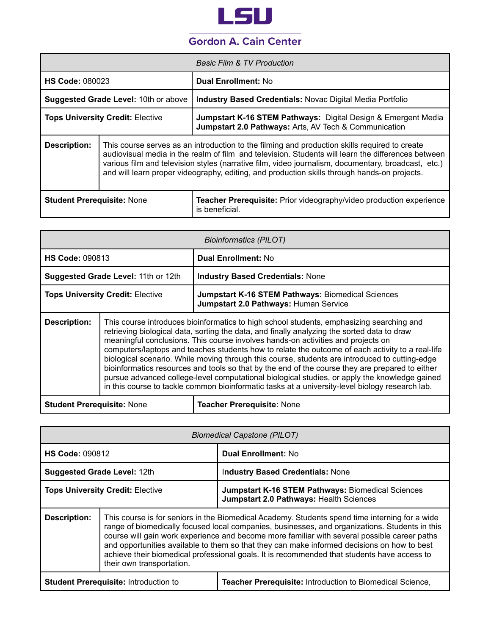

|                                             |                                                                                                                                                                                                                                                                                                                                                                                                            | <b>Basic Film &amp; TV Production</b>                                                                                                        |
|---------------------------------------------|------------------------------------------------------------------------------------------------------------------------------------------------------------------------------------------------------------------------------------------------------------------------------------------------------------------------------------------------------------------------------------------------------------|----------------------------------------------------------------------------------------------------------------------------------------------|
| <b>HS Code: 080023</b>                      |                                                                                                                                                                                                                                                                                                                                                                                                            | <b>Dual Enrollment: No</b>                                                                                                                   |
| <b>Suggested Grade Level: 10th or above</b> |                                                                                                                                                                                                                                                                                                                                                                                                            | Industry Based Credentials: Novac Digital Media Portfolio                                                                                    |
| <b>Tops University Credit: Elective</b>     |                                                                                                                                                                                                                                                                                                                                                                                                            | <b>Jumpstart K-16 STEM Pathways: Digital Design &amp; Emergent Media</b><br><b>Jumpstart 2.0 Pathways: Arts, AV Tech &amp; Communication</b> |
| Description:                                | This course serves as an introduction to the filming and production skills required to create<br>audiovisual media in the realm of film and television. Students will learn the differences between<br>various film and television styles (narrative film, video journalism, documentary, broadcast, etc.)<br>and will learn proper videography, editing, and production skills through hands-on projects. |                                                                                                                                              |
| <b>Student Prerequisite: None</b>           |                                                                                                                                                                                                                                                                                                                                                                                                            | <b>Teacher Prerequisite:</b> Prior videography/video production experience<br>is beneficial.                                                 |

| <b>Bioinformatics (PILOT)</b>                                                                                                                                                                                                                                                                                                                                                                                                                                                                                                                                                                                                                                                                                                                                                                                   |  |                                                                                                   |
|-----------------------------------------------------------------------------------------------------------------------------------------------------------------------------------------------------------------------------------------------------------------------------------------------------------------------------------------------------------------------------------------------------------------------------------------------------------------------------------------------------------------------------------------------------------------------------------------------------------------------------------------------------------------------------------------------------------------------------------------------------------------------------------------------------------------|--|---------------------------------------------------------------------------------------------------|
| <b>HS Code: 090813</b>                                                                                                                                                                                                                                                                                                                                                                                                                                                                                                                                                                                                                                                                                                                                                                                          |  | <b>Dual Enrollment: No</b>                                                                        |
| Suggested Grade Level: 11th or 12th                                                                                                                                                                                                                                                                                                                                                                                                                                                                                                                                                                                                                                                                                                                                                                             |  | <b>Industry Based Credentials: None</b>                                                           |
| <b>Tops University Credit: Elective</b>                                                                                                                                                                                                                                                                                                                                                                                                                                                                                                                                                                                                                                                                                                                                                                         |  | <b>Jumpstart K-16 STEM Pathways: Biomedical Sciences</b><br>Jumpstart 2.0 Pathways: Human Service |
| <b>Description:</b><br>This course introduces bioinformatics to high school students, emphasizing searching and<br>retrieving biological data, sorting the data, and finally analyzing the sorted data to draw<br>meaningful conclusions. This course involves hands-on activities and projects on<br>computers/laptops and teaches students how to relate the outcome of each activity to a real-life<br>biological scenario. While moving through this course, students are introduced to cutting-edge<br>bioinformatics resources and tools so that by the end of the course they are prepared to either<br>pursue advanced college-level computational biological studies, or apply the knowledge gained<br>in this course to tackle common bioinformatic tasks at a university-level biology research lab. |  |                                                                                                   |
| <b>Student Prerequisite: None</b><br><b>Teacher Prerequisite: None</b>                                                                                                                                                                                                                                                                                                                                                                                                                                                                                                                                                                                                                                                                                                                                          |  |                                                                                                   |

|                                              | <b>Biomedical Capstone (PILOT)</b>                                                                                                                                                                                                                                                                                                                                                                                                                                                                                          |                                                                                                     |  |
|----------------------------------------------|-----------------------------------------------------------------------------------------------------------------------------------------------------------------------------------------------------------------------------------------------------------------------------------------------------------------------------------------------------------------------------------------------------------------------------------------------------------------------------------------------------------------------------|-----------------------------------------------------------------------------------------------------|--|
| <b>HS Code: 090812</b>                       |                                                                                                                                                                                                                                                                                                                                                                                                                                                                                                                             | <b>Dual Enrollment: No</b>                                                                          |  |
| <b>Suggested Grade Level: 12th</b>           |                                                                                                                                                                                                                                                                                                                                                                                                                                                                                                                             | <b>Industry Based Credentials: None</b>                                                             |  |
| <b>Tops University Credit: Elective</b>      |                                                                                                                                                                                                                                                                                                                                                                                                                                                                                                                             | <b>Jumpstart K-16 STEM Pathways: Biomedical Sciences</b><br>Jumpstart 2.0 Pathways: Health Sciences |  |
| Description:                                 | This course is for seniors in the Biomedical Academy. Students spend time interning for a wide<br>range of biomedically focused local companies, businesses, and organizations. Students in this<br>course will gain work experience and become more familiar with several possible career paths<br>and opportunities available to them so that they can make informed decisions on how to best<br>achieve their biomedical professional goals. It is recommended that students have access to<br>their own transportation. |                                                                                                     |  |
| <b>Student Prerequisite: Introduction to</b> |                                                                                                                                                                                                                                                                                                                                                                                                                                                                                                                             | <b>Teacher Prerequisite: Introduction to Biomedical Science,</b>                                    |  |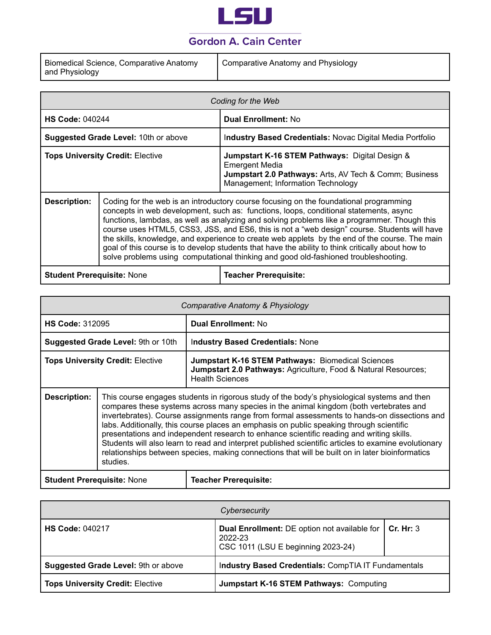

| Biomedical Science, Comparative Anatomy | Comparative Anatomy and Physiology |
|-----------------------------------------|------------------------------------|
| and Physiology                          |                                    |

|                                                                                                                                                                                                                                                                                                                                                                                                                                                                                                                                                                                                                                                                                                     | Coding for the Web |                                                                                                                                                                         |  |
|-----------------------------------------------------------------------------------------------------------------------------------------------------------------------------------------------------------------------------------------------------------------------------------------------------------------------------------------------------------------------------------------------------------------------------------------------------------------------------------------------------------------------------------------------------------------------------------------------------------------------------------------------------------------------------------------------------|--------------------|-------------------------------------------------------------------------------------------------------------------------------------------------------------------------|--|
| <b>HS Code: 040244</b>                                                                                                                                                                                                                                                                                                                                                                                                                                                                                                                                                                                                                                                                              |                    | <b>Dual Enrollment: No</b>                                                                                                                                              |  |
| Suggested Grade Level: 10th or above                                                                                                                                                                                                                                                                                                                                                                                                                                                                                                                                                                                                                                                                |                    | Industry Based Credentials: Novac Digital Media Portfolio                                                                                                               |  |
| <b>Tops University Credit: Elective</b>                                                                                                                                                                                                                                                                                                                                                                                                                                                                                                                                                                                                                                                             |                    | Jumpstart K-16 STEM Pathways: Digital Design &<br><b>Emergent Media</b><br>Jumpstart 2.0 Pathways: Arts, AV Tech & Comm; Business<br>Management; Information Technology |  |
| Coding for the web is an introductory course focusing on the foundational programming<br><b>Description:</b><br>concepts in web development, such as: functions, loops, conditional statements, async<br>functions, lambdas, as well as analyzing and solving problems like a programmer. Though this<br>course uses HTML5, CSS3, JSS, and ES6, this is not a "web design" course. Students will have<br>the skills, knowledge, and experience to create web applets by the end of the course. The main<br>goal of this course is to develop students that have the ability to think critically about how to<br>solve problems using computational thinking and good old-fashioned troubleshooting. |                    |                                                                                                                                                                         |  |
| <b>Student Prerequisite: None</b>                                                                                                                                                                                                                                                                                                                                                                                                                                                                                                                                                                                                                                                                   |                    | <b>Teacher Prerequisite:</b>                                                                                                                                            |  |

|                                                                               | Comparative Anatomy & Physiology                                                                                                                                                                                                                                                                                                                                                                                                                                                                                                                                                                                                                                                                     |                                                                                                                     |  |
|-------------------------------------------------------------------------------|------------------------------------------------------------------------------------------------------------------------------------------------------------------------------------------------------------------------------------------------------------------------------------------------------------------------------------------------------------------------------------------------------------------------------------------------------------------------------------------------------------------------------------------------------------------------------------------------------------------------------------------------------------------------------------------------------|---------------------------------------------------------------------------------------------------------------------|--|
| <b>HS Code: 312095</b>                                                        |                                                                                                                                                                                                                                                                                                                                                                                                                                                                                                                                                                                                                                                                                                      | <b>Dual Enrollment: No</b>                                                                                          |  |
| Suggested Grade Level: 9th or 10th<br><b>Industry Based Credentials: None</b> |                                                                                                                                                                                                                                                                                                                                                                                                                                                                                                                                                                                                                                                                                                      |                                                                                                                     |  |
| <b>Tops University Credit: Elective</b><br><b>Health Sciences</b>             |                                                                                                                                                                                                                                                                                                                                                                                                                                                                                                                                                                                                                                                                                                      | Jumpstart K-16 STEM Pathways: Biomedical Sciences<br>Jumpstart 2.0 Pathways: Agriculture, Food & Natural Resources; |  |
| <b>Description:</b>                                                           | This course engages students in rigorous study of the body's physiological systems and then<br>compares these systems across many species in the animal kingdom (both vertebrates and<br>invertebrates). Course assignments range from formal assessments to hands-on dissections and<br>labs. Additionally, this course places an emphasis on public speaking through scientific<br>presentations and independent research to enhance scientific reading and writing skills.<br>Students will also learn to read and interpret published scientific articles to examine evolutionary<br>relationships between species, making connections that will be built on in later bioinformatics<br>studies. |                                                                                                                     |  |
| <b>Student Prerequisite: None</b><br><b>Teacher Prerequisite:</b>             |                                                                                                                                                                                                                                                                                                                                                                                                                                                                                                                                                                                                                                                                                                      |                                                                                                                     |  |

| Cybersecurity                           |                                                                                                                  |  |
|-----------------------------------------|------------------------------------------------------------------------------------------------------------------|--|
| <b>HS Code: 040217</b>                  | <b>Dual Enrollment:</b> DE option not available for   Cr. Hr: 3<br>2022-23<br>CSC 1011 (LSU E beginning 2023-24) |  |
| Suggested Grade Level: 9th or above     | Industry Based Credentials: CompTIA IT Fundamentals                                                              |  |
| <b>Tops University Credit: Elective</b> | <b>Jumpstart K-16 STEM Pathways: Computing</b>                                                                   |  |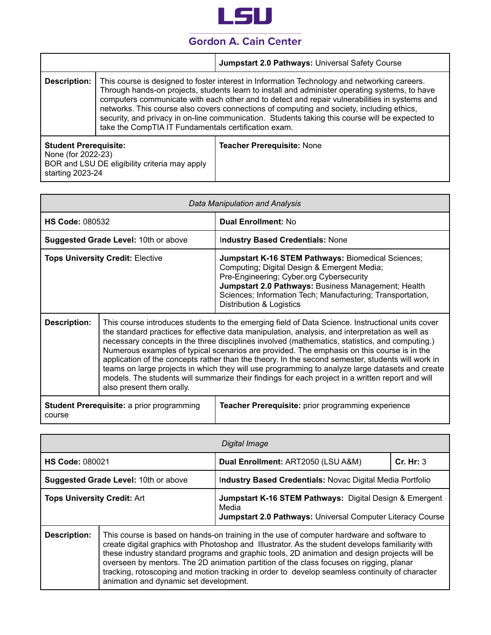

|                              |                                                      | Jumpstart 2.0 Pathways: Universal Safety Course                                                                                                                                                                                                                                                                                                                                                                                                                                                 |
|------------------------------|------------------------------------------------------|-------------------------------------------------------------------------------------------------------------------------------------------------------------------------------------------------------------------------------------------------------------------------------------------------------------------------------------------------------------------------------------------------------------------------------------------------------------------------------------------------|
| <b>Description:</b>          | take the CompTIA IT Fundamentals certification exam. | This course is designed to foster interest in Information Technology and networking careers.<br>Through hands-on projects, students learn to install and administer operating systems, to have<br>computers communicate with each other and to detect and repair vulnerabilities in systems and<br>networks. This course also covers connections of computing and society, including ethics,<br>security, and privacy in on-line communication. Students taking this course will be expected to |
| <b>Student Prerequisite:</b> |                                                      | <b>Teacher Prerequisite: None</b>                                                                                                                                                                                                                                                                                                                                                                                                                                                               |

None (for 2022-23) BOR and LSU DE eligibility criteria may apply starting 2023-24

| Data Manipulation and Analysis                             |                                                                                                                                                                                                                                                                                                                                                                                                                                                                                                                                                                                                                                                                                                                                              |                                                                                                                                                                                                                                                                                                       |
|------------------------------------------------------------|----------------------------------------------------------------------------------------------------------------------------------------------------------------------------------------------------------------------------------------------------------------------------------------------------------------------------------------------------------------------------------------------------------------------------------------------------------------------------------------------------------------------------------------------------------------------------------------------------------------------------------------------------------------------------------------------------------------------------------------------|-------------------------------------------------------------------------------------------------------------------------------------------------------------------------------------------------------------------------------------------------------------------------------------------------------|
| <b>HS Code: 080532</b>                                     |                                                                                                                                                                                                                                                                                                                                                                                                                                                                                                                                                                                                                                                                                                                                              | <b>Dual Enrollment: No</b>                                                                                                                                                                                                                                                                            |
|                                                            | <b>Suggested Grade Level: 10th or above</b>                                                                                                                                                                                                                                                                                                                                                                                                                                                                                                                                                                                                                                                                                                  | <b>Industry Based Credentials: None</b>                                                                                                                                                                                                                                                               |
| <b>Tops University Credit: Elective</b>                    |                                                                                                                                                                                                                                                                                                                                                                                                                                                                                                                                                                                                                                                                                                                                              | <b>Jumpstart K-16 STEM Pathways: Biomedical Sciences;</b><br>Computing; Digital Design & Emergent Media;<br>Pre-Engineering; Cyber.org Cybersecurity<br>Jumpstart 2.0 Pathways: Business Management; Health<br>Sciences; Information Tech; Manufacturing; Transportation,<br>Distribution & Logistics |
| <b>Description:</b>                                        | This course introduces students to the emerging field of Data Science. Instructional units cover<br>the standard practices for effective data manipulation, analysis, and interpretation as well as<br>necessary concepts in the three disciplines involved (mathematics, statistics, and computing.)<br>Numerous examples of typical scenarios are provided. The emphasis on this course is in the<br>application of the concepts rather than the theory. In the second semester, students will work in<br>teams on large projects in which they will use programming to analyze large datasets and create<br>models. The students will summarize their findings for each project in a written report and will<br>also present them orally. |                                                                                                                                                                                                                                                                                                       |
| <b>Student Prerequisite: a prior programming</b><br>course |                                                                                                                                                                                                                                                                                                                                                                                                                                                                                                                                                                                                                                                                                                                                              | Teacher Prerequisite: prior programming experience                                                                                                                                                                                                                                                    |

| Digital Image                        |                                                                                                                                                                                                                                                                                                                                                                                                                                                                                                                                      |                                                                                                                                |           |
|--------------------------------------|--------------------------------------------------------------------------------------------------------------------------------------------------------------------------------------------------------------------------------------------------------------------------------------------------------------------------------------------------------------------------------------------------------------------------------------------------------------------------------------------------------------------------------------|--------------------------------------------------------------------------------------------------------------------------------|-----------|
| <b>HS Code: 080021</b>               |                                                                                                                                                                                                                                                                                                                                                                                                                                                                                                                                      | Dual Enrollment: ART2050 (LSU A&M)                                                                                             | Cr. Hr: 3 |
| Suggested Grade Level: 10th or above |                                                                                                                                                                                                                                                                                                                                                                                                                                                                                                                                      | Industry Based Credentials: Novac Digital Media Portfolio                                                                      |           |
| <b>Tops University Credit: Art</b>   |                                                                                                                                                                                                                                                                                                                                                                                                                                                                                                                                      | Jumpstart K-16 STEM Pathways: Digital Design & Emergent<br>Media<br>Jumpstart 2.0 Pathways: Universal Computer Literacy Course |           |
| <b>Description:</b>                  | This course is based on hands-on training in the use of computer hardware and software to<br>create digital graphics with Photoshop and Illustrator. As the student develops familiarity with<br>these industry standard programs and graphic tools, 2D animation and design projects will be<br>overseen by mentors. The 2D animation partition of the class focuses on rigging, planar<br>tracking, rotoscoping and motion tracking in order to develop seamless continuity of character<br>animation and dynamic set development. |                                                                                                                                |           |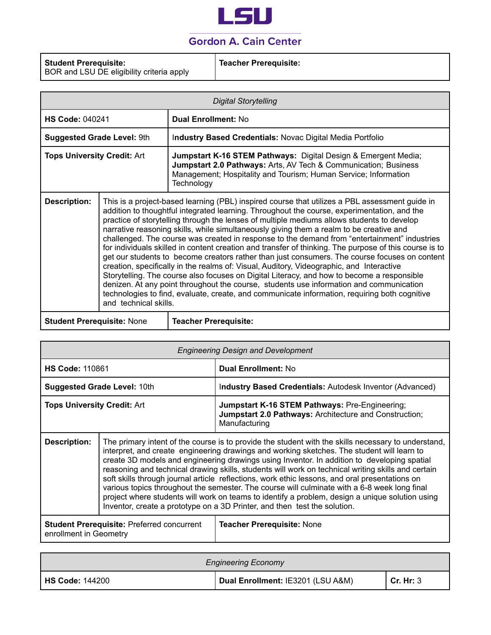

| <b>Teacher Prerequisite:</b><br><b>Student Prerequisite:</b><br>BOR and LSU DE eligibility criteria apply |  |
|-----------------------------------------------------------------------------------------------------------|--|
|-----------------------------------------------------------------------------------------------------------|--|

| <b>Digital Storytelling</b>                                                                                                                                                                                                                                                                                                                                                                                                                                                                                                                                                                                                                                                                                                                                                                                                                                                                                                                                                                                                                                                                                                             |                                                                                                                                                                                                                               |  |
|-----------------------------------------------------------------------------------------------------------------------------------------------------------------------------------------------------------------------------------------------------------------------------------------------------------------------------------------------------------------------------------------------------------------------------------------------------------------------------------------------------------------------------------------------------------------------------------------------------------------------------------------------------------------------------------------------------------------------------------------------------------------------------------------------------------------------------------------------------------------------------------------------------------------------------------------------------------------------------------------------------------------------------------------------------------------------------------------------------------------------------------------|-------------------------------------------------------------------------------------------------------------------------------------------------------------------------------------------------------------------------------|--|
|                                                                                                                                                                                                                                                                                                                                                                                                                                                                                                                                                                                                                                                                                                                                                                                                                                                                                                                                                                                                                                                                                                                                         | <b>Dual Enrollment: No</b>                                                                                                                                                                                                    |  |
|                                                                                                                                                                                                                                                                                                                                                                                                                                                                                                                                                                                                                                                                                                                                                                                                                                                                                                                                                                                                                                                                                                                                         | Industry Based Credentials: Novac Digital Media Portfolio                                                                                                                                                                     |  |
|                                                                                                                                                                                                                                                                                                                                                                                                                                                                                                                                                                                                                                                                                                                                                                                                                                                                                                                                                                                                                                                                                                                                         | Jumpstart K-16 STEM Pathways: Digital Design & Emergent Media;<br><b>Jumpstart 2.0 Pathways: Arts, AV Tech &amp; Communication; Business</b><br>Management; Hospitality and Tourism; Human Service; Information<br>Technology |  |
| This is a project-based learning (PBL) inspired course that utilizes a PBL assessment guide in<br><b>Description:</b><br>addition to thoughtful integrated learning. Throughout the course, experimentation, and the<br>practice of storytelling through the lenses of multiple mediums allows students to develop<br>narrative reasoning skills, while simultaneously giving them a realm to be creative and<br>challenged. The course was created in response to the demand from "entertainment" industries<br>for individuals skilled in content creation and transfer of thinking. The purpose of this course is to<br>get our students to become creators rather than just consumers. The course focuses on content<br>creation, specifically in the realms of: Visual, Auditory, Videographic, and Interactive<br>Storytelling. The course also focuses on Digital Literacy, and how to become a responsible<br>denizen. At any point throughout the course, students use information and communication<br>technologies to find, evaluate, create, and communicate information, requiring both cognitive<br>and technical skills. |                                                                                                                                                                                                                               |  |
|                                                                                                                                                                                                                                                                                                                                                                                                                                                                                                                                                                                                                                                                                                                                                                                                                                                                                                                                                                                                                                                                                                                                         | <b>HS Code: 040241</b><br><b>Suggested Grade Level: 9th</b><br><b>Tops University Credit: Art</b>                                                                                                                             |  |

**Student Prerequisite:** None **Teacher Prerequisite:**

| <b>Engineering Design and Development</b>                                   |                                                                                                                                                                                                                                                                                                                                                                                                                                                                                                                                                                                                                                                                                                                                                                                          |                                                                                                                                  |
|-----------------------------------------------------------------------------|------------------------------------------------------------------------------------------------------------------------------------------------------------------------------------------------------------------------------------------------------------------------------------------------------------------------------------------------------------------------------------------------------------------------------------------------------------------------------------------------------------------------------------------------------------------------------------------------------------------------------------------------------------------------------------------------------------------------------------------------------------------------------------------|----------------------------------------------------------------------------------------------------------------------------------|
| <b>HS Code: 110861</b>                                                      |                                                                                                                                                                                                                                                                                                                                                                                                                                                                                                                                                                                                                                                                                                                                                                                          | <b>Dual Enrollment: No</b>                                                                                                       |
| <b>Suggested Grade Level: 10th</b>                                          |                                                                                                                                                                                                                                                                                                                                                                                                                                                                                                                                                                                                                                                                                                                                                                                          | Industry Based Credentials: Autodesk Inventor (Advanced)                                                                         |
| <b>Tops University Credit: Art</b>                                          |                                                                                                                                                                                                                                                                                                                                                                                                                                                                                                                                                                                                                                                                                                                                                                                          | <b>Jumpstart K-16 STEM Pathways: Pre-Engineering;</b><br>Jumpstart 2.0 Pathways: Architecture and Construction;<br>Manufacturing |
| <b>Description:</b>                                                         | The primary intent of the course is to provide the student with the skills necessary to understand,<br>interpret, and create engineering drawings and working sketches. The student will learn to<br>create 3D models and engineering drawings using Inventor. In addition to developing spatial<br>reasoning and technical drawing skills, students will work on technical writing skills and certain<br>soft skills through journal article reflections, work ethic lessons, and oral presentations on<br>various topics throughout the semester. The course will culminate with a 6-8 week long final<br>project where students will work on teams to identify a problem, design a unique solution using<br>Inventor, create a prototype on a 3D Printer, and then test the solution. |                                                                                                                                  |
| <b>Student Prerequisite: Preferred concurrent</b><br>enrollment in Geometry |                                                                                                                                                                                                                                                                                                                                                                                                                                                                                                                                                                                                                                                                                                                                                                                          | <b>Teacher Prerequisite: None</b>                                                                                                |

| <b>Engineering Economy</b> |                                   |             |
|----------------------------|-----------------------------------|-------------|
| <b>HS Code: 144200</b>     | Dual Enrollment: IE3201 (LSU A&M) | l Cr. Hr: 3 |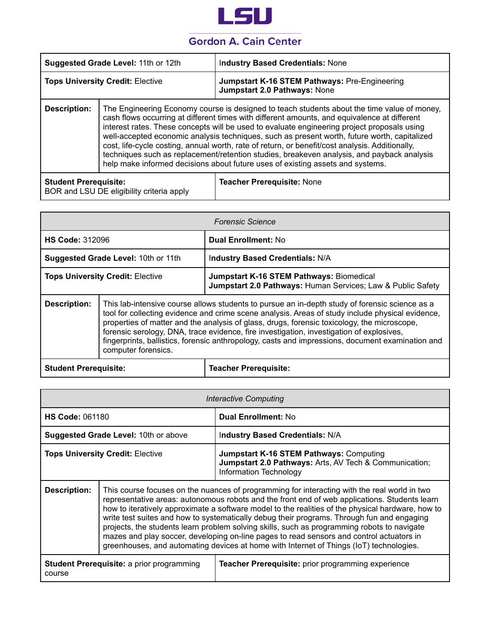

| Jumpstart K-16 STEM Pathways: Pre-Engineering<br><b>Tops University Credit: Elective</b><br>Jumpstart 2.0 Pathways: None<br><b>Description:</b><br>The Engineering Economy course is designed to teach students about the time value of money,<br>cash flows occurring at different times with different amounts, and equivalence at different<br>interest rates. These concepts will be used to evaluate engineering project proposals using<br>well-accepted economic analysis techniques, such as present worth, future worth, capitalized<br>cost, life-cycle costing, annual worth, rate of return, or benefit/cost analysis. Additionally,<br>techniques such as replacement/retention studies, breakeven analysis, and payback analysis<br>help make informed decisions about future uses of existing assets and systems. | Suggested Grade Level: 11th or 12th |  | <b>Industry Based Credentials: None</b> |
|----------------------------------------------------------------------------------------------------------------------------------------------------------------------------------------------------------------------------------------------------------------------------------------------------------------------------------------------------------------------------------------------------------------------------------------------------------------------------------------------------------------------------------------------------------------------------------------------------------------------------------------------------------------------------------------------------------------------------------------------------------------------------------------------------------------------------------|-------------------------------------|--|-----------------------------------------|
|                                                                                                                                                                                                                                                                                                                                                                                                                                                                                                                                                                                                                                                                                                                                                                                                                                  |                                     |  |                                         |
|                                                                                                                                                                                                                                                                                                                                                                                                                                                                                                                                                                                                                                                                                                                                                                                                                                  |                                     |  |                                         |

| Student Prerequisite:                     | Teacher Prerequisite: None |
|-------------------------------------------|----------------------------|
| BOR and LSU DE eligibility criteria apply |                            |

| <b>Forensic Science</b>                 |                                                                                                                                                                                                                                                                                                                                                                                                                                                                                                                          |                                                                                                                |
|-----------------------------------------|--------------------------------------------------------------------------------------------------------------------------------------------------------------------------------------------------------------------------------------------------------------------------------------------------------------------------------------------------------------------------------------------------------------------------------------------------------------------------------------------------------------------------|----------------------------------------------------------------------------------------------------------------|
| <b>HS Code: 312096</b>                  |                                                                                                                                                                                                                                                                                                                                                                                                                                                                                                                          | <b>Dual Enrollment: No</b>                                                                                     |
| Suggested Grade Level: 10th or 11th     |                                                                                                                                                                                                                                                                                                                                                                                                                                                                                                                          | Industry Based Credentials: N/A                                                                                |
| <b>Tops University Credit: Elective</b> |                                                                                                                                                                                                                                                                                                                                                                                                                                                                                                                          | <b>Jumpstart K-16 STEM Pathways: Biomedical</b><br>Jumpstart 2.0 Pathways: Human Services; Law & Public Safety |
| <b>Description:</b>                     | This lab-intensive course allows students to pursue an in-depth study of forensic science as a<br>tool for collecting evidence and crime scene analysis. Areas of study include physical evidence,<br>properties of matter and the analysis of glass, drugs, forensic toxicology, the microscope,<br>forensic serology, DNA, trace evidence, fire investigation, investigation of explosives,<br>fingerprints, ballistics, forensic anthropology, casts and impressions, document examination and<br>computer forensics. |                                                                                                                |
| <b>Student Prerequisite:</b>            |                                                                                                                                                                                                                                                                                                                                                                                                                                                                                                                          | <b>Teacher Prerequisite:</b>                                                                                   |

| <b>Interactive Computing</b>                               |                                                                                                                                                                                                                                                                                                                                                                                                                                                                                                                                                                                                                                                                                        |                                                                                                                                    |
|------------------------------------------------------------|----------------------------------------------------------------------------------------------------------------------------------------------------------------------------------------------------------------------------------------------------------------------------------------------------------------------------------------------------------------------------------------------------------------------------------------------------------------------------------------------------------------------------------------------------------------------------------------------------------------------------------------------------------------------------------------|------------------------------------------------------------------------------------------------------------------------------------|
| <b>HS Code: 061180</b>                                     |                                                                                                                                                                                                                                                                                                                                                                                                                                                                                                                                                                                                                                                                                        | <b>Dual Enrollment: No</b>                                                                                                         |
|                                                            | <b>Suggested Grade Level: 10th or above</b>                                                                                                                                                                                                                                                                                                                                                                                                                                                                                                                                                                                                                                            | Industry Based Credentials: N/A                                                                                                    |
| <b>Tops University Credit: Elective</b>                    |                                                                                                                                                                                                                                                                                                                                                                                                                                                                                                                                                                                                                                                                                        | <b>Jumpstart K-16 STEM Pathways: Computing</b><br>Jumpstart 2.0 Pathways: Arts, AV Tech & Communication;<br>Information Technology |
| <b>Description:</b>                                        | This course focuses on the nuances of programming for interacting with the real world in two<br>representative areas: autonomous robots and the front end of web applications. Students learn<br>how to iteratively approximate a software model to the realities of the physical hardware, how to<br>write test suites and how to systematically debug their programs. Through fun and engaging<br>projects, the students learn problem solving skills, such as programming robots to navigate<br>mazes and play soccer, developing on-line pages to read sensors and control actuators in<br>greenhouses, and automating devices at home with Internet of Things (IoT) technologies. |                                                                                                                                    |
| <b>Student Prerequisite: a prior programming</b><br>course |                                                                                                                                                                                                                                                                                                                                                                                                                                                                                                                                                                                                                                                                                        | Teacher Prerequisite: prior programming experience                                                                                 |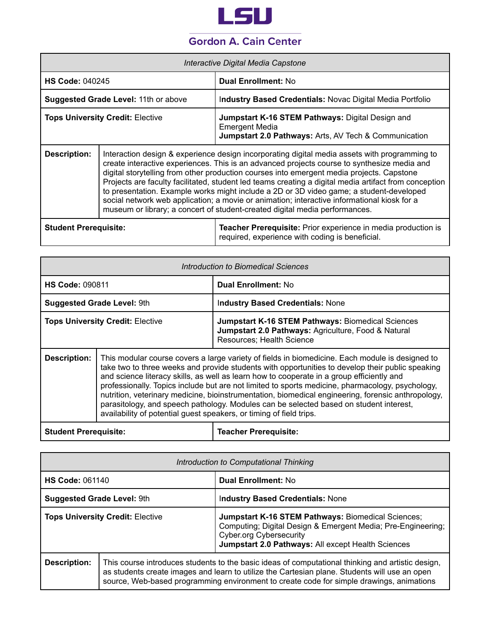

| Interactive Digital Media Capstone      |                                                                                                                                                                                                                                                                                                                                                                                                                                                                                                                                                                                                                                                                             |                                                                                                                                    |
|-----------------------------------------|-----------------------------------------------------------------------------------------------------------------------------------------------------------------------------------------------------------------------------------------------------------------------------------------------------------------------------------------------------------------------------------------------------------------------------------------------------------------------------------------------------------------------------------------------------------------------------------------------------------------------------------------------------------------------------|------------------------------------------------------------------------------------------------------------------------------------|
| <b>HS Code: 040245</b>                  |                                                                                                                                                                                                                                                                                                                                                                                                                                                                                                                                                                                                                                                                             | <b>Dual Enrollment: No</b>                                                                                                         |
| Suggested Grade Level: 11th or above    |                                                                                                                                                                                                                                                                                                                                                                                                                                                                                                                                                                                                                                                                             | Industry Based Credentials: Novac Digital Media Portfolio                                                                          |
| <b>Tops University Credit: Elective</b> |                                                                                                                                                                                                                                                                                                                                                                                                                                                                                                                                                                                                                                                                             | <b>Jumpstart K-16 STEM Pathways: Digital Design and</b><br>Emergent Media<br>Jumpstart 2.0 Pathways: Arts, AV Tech & Communication |
| <b>Description:</b>                     | Interaction design & experience design incorporating digital media assets with programming to<br>create interactive experiences. This is an advanced projects course to synthesize media and<br>digital storytelling from other production courses into emergent media projects. Capstone<br>Projects are faculty facilitated, student led teams creating a digital media artifact from conception<br>to presentation. Example works might include a 2D or 3D video game; a student-developed<br>social network web application; a movie or animation; interactive informational kiosk for a<br>museum or library; a concert of student-created digital media performances. |                                                                                                                                    |
| <b>Student Prerequisite:</b>            |                                                                                                                                                                                                                                                                                                                                                                                                                                                                                                                                                                                                                                                                             | <b>Teacher Prerequisite:</b> Prior experience in media production is<br>required, experience with coding is beneficial.            |

| Introduction to Biomedical Sciences     |                                                                                                                                                                                                                                                                                                                                                                                                                                                                                                                                                                                                                                                                             |                                                                                                                                              |
|-----------------------------------------|-----------------------------------------------------------------------------------------------------------------------------------------------------------------------------------------------------------------------------------------------------------------------------------------------------------------------------------------------------------------------------------------------------------------------------------------------------------------------------------------------------------------------------------------------------------------------------------------------------------------------------------------------------------------------------|----------------------------------------------------------------------------------------------------------------------------------------------|
| <b>HS Code: 090811</b>                  |                                                                                                                                                                                                                                                                                                                                                                                                                                                                                                                                                                                                                                                                             | <b>Dual Enrollment: No</b>                                                                                                                   |
| <b>Suggested Grade Level: 9th</b>       |                                                                                                                                                                                                                                                                                                                                                                                                                                                                                                                                                                                                                                                                             | <b>Industry Based Credentials: None</b>                                                                                                      |
| <b>Tops University Credit: Elective</b> |                                                                                                                                                                                                                                                                                                                                                                                                                                                                                                                                                                                                                                                                             | <b>Jumpstart K-16 STEM Pathways: Biomedical Sciences</b><br>Jumpstart 2.0 Pathways: Agriculture, Food & Natural<br>Resources; Health Science |
| <b>Description:</b>                     | This modular course covers a large variety of fields in biomedicine. Each module is designed to<br>take two to three weeks and provide students with opportunities to develop their public speaking<br>and science literacy skills, as well as learn how to cooperate in a group efficiently and<br>professionally. Topics include but are not limited to sports medicine, pharmacology, psychology,<br>nutrition, veterinary medicine, bioinstrumentation, biomedical engineering, forensic anthropology,<br>parasitology, and speech pathology. Modules can be selected based on student interest.<br>availability of potential guest speakers, or timing of field trips. |                                                                                                                                              |
| <b>Student Prerequisite:</b>            |                                                                                                                                                                                                                                                                                                                                                                                                                                                                                                                                                                                                                                                                             | <b>Teacher Prerequisite:</b>                                                                                                                 |

| Introduction to Computational Thinking  |  |                                                                                                                                                                                                                                                                                                |
|-----------------------------------------|--|------------------------------------------------------------------------------------------------------------------------------------------------------------------------------------------------------------------------------------------------------------------------------------------------|
| <b>HS Code: 061140</b>                  |  | <b>Dual Enrollment: No</b>                                                                                                                                                                                                                                                                     |
| <b>Suggested Grade Level: 9th</b>       |  | <b>Industry Based Credentials: None</b>                                                                                                                                                                                                                                                        |
| <b>Tops University Credit: Elective</b> |  | Jumpstart K-16 STEM Pathways: Biomedical Sciences;<br>Computing; Digital Design & Emergent Media; Pre-Engineering;<br><b>Cyber.org Cybersecurity</b><br>Jumpstart 2.0 Pathways: All except Health Sciences                                                                                     |
| Description:                            |  | This course introduces students to the basic ideas of computational thinking and artistic design,<br>as students create images and learn to utilize the Cartesian plane. Students will use an open<br>source, Web-based programming environment to create code for simple drawings, animations |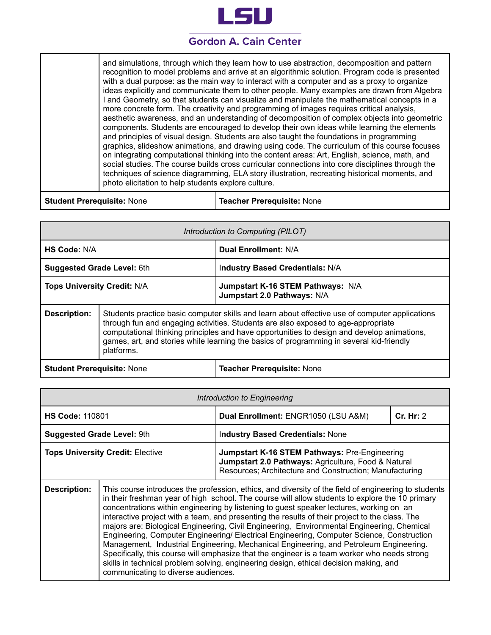

and simulations, through which they learn how to use abstraction, decomposition and pattern recognition to model problems and arrive at an algorithmic solution. Program code is presented with a dual purpose: as the main way to interact with a computer and as a proxy to organize ideas explicitly and communicate them to other people. Many examples are drawn from Algebra I and Geometry, so that students can visualize and manipulate the mathematical concepts in a more concrete form. The creativity and programming of images requires critical analysis, aesthetic awareness, and an understanding of decomposition of complex objects into geometric components. Students are encouraged to develop their own ideas while learning the elements and principles of visual design. Students are also taught the foundations in programming graphics, slideshow animations, and drawing using code. The curriculum of this course focuses on integrating computational thinking into the content areas: Art, English, science, math, and social studies. The course builds cross curricular connections into core disciplines through the techniques of science diagramming, ELA story illustration, recreating historical moments, and photo elicitation to help students explore culture.

**Student Prerequisite:** None **Teacher Prerequisite:** None

| Introduction to Computing (PILOT)  |            |                                                                                                                                                                                                                                                                                                                                                                               |
|------------------------------------|------------|-------------------------------------------------------------------------------------------------------------------------------------------------------------------------------------------------------------------------------------------------------------------------------------------------------------------------------------------------------------------------------|
| HS Code: N/A                       |            | Dual Enrollment: N/A                                                                                                                                                                                                                                                                                                                                                          |
| <b>Suggested Grade Level: 6th</b>  |            | <b>Industry Based Credentials: N/A</b>                                                                                                                                                                                                                                                                                                                                        |
| <b>Tops University Credit: N/A</b> |            | Jumpstart K-16 STEM Pathways: N/A<br>Jumpstart 2.0 Pathways: N/A                                                                                                                                                                                                                                                                                                              |
| <b>Description:</b>                | platforms. | Students practice basic computer skills and learn about effective use of computer applications<br>through fun and engaging activities. Students are also exposed to age-appropriate<br>computational thinking principles and have opportunities to design and develop animations,<br>games, art, and stories while learning the basics of programming in several kid-friendly |

**Student Prerequisite:** None **Teacher Prerequisite:** None

| Introduction to Engineering             |                                                                                                                                                                                                                                                                                                                                                                                                                                                                                                                                                                                                                                                                                                                                                                                                                                                                                                                           |                                                                                                                                                                 |           |
|-----------------------------------------|---------------------------------------------------------------------------------------------------------------------------------------------------------------------------------------------------------------------------------------------------------------------------------------------------------------------------------------------------------------------------------------------------------------------------------------------------------------------------------------------------------------------------------------------------------------------------------------------------------------------------------------------------------------------------------------------------------------------------------------------------------------------------------------------------------------------------------------------------------------------------------------------------------------------------|-----------------------------------------------------------------------------------------------------------------------------------------------------------------|-----------|
| <b>HS Code: 110801</b>                  |                                                                                                                                                                                                                                                                                                                                                                                                                                                                                                                                                                                                                                                                                                                                                                                                                                                                                                                           | Dual Enrollment: ENGR1050 (LSU A&M)                                                                                                                             | Cr. Hr: 2 |
| <b>Suggested Grade Level: 9th</b>       |                                                                                                                                                                                                                                                                                                                                                                                                                                                                                                                                                                                                                                                                                                                                                                                                                                                                                                                           | <b>Industry Based Credentials: None</b>                                                                                                                         |           |
| <b>Tops University Credit: Elective</b> |                                                                                                                                                                                                                                                                                                                                                                                                                                                                                                                                                                                                                                                                                                                                                                                                                                                                                                                           | Jumpstart K-16 STEM Pathways: Pre-Engineering<br>Jumpstart 2.0 Pathways: Agriculture, Food & Natural<br>Resources; Architecture and Construction; Manufacturing |           |
| <b>Description:</b>                     | This course introduces the profession, ethics, and diversity of the field of engineering to students<br>in their freshman year of high school. The course will allow students to explore the 10 primary<br>concentrations within engineering by listening to guest speaker lectures, working on an<br>interactive project with a team, and presenting the results of their project to the class. The<br>majors are: Biological Engineering, Civil Engineering, Environmental Engineering, Chemical<br>Engineering, Computer Engineering/ Electrical Engineering, Computer Science, Construction<br>Management, Industrial Engineering, Mechanical Engineering, and Petroleum Engineering.<br>Specifically, this course will emphasize that the engineer is a team worker who needs strong<br>skills in technical problem solving, engineering design, ethical decision making, and<br>communicating to diverse audiences. |                                                                                                                                                                 |           |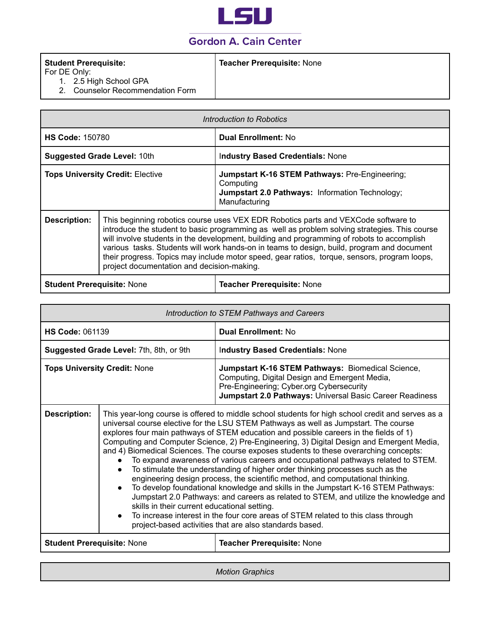

#### **Student Prerequisite:**

#### **Teacher Prerequisite:** None

For DE Only:

- 1. 2.5 High School GPA
- 2. Counselor Recommendation Form

| Introduction to Robotics                |                                                                                                                                                                                                                                                                                                                                                                                                                                                                                                                               |                                                                                                                                        |
|-----------------------------------------|-------------------------------------------------------------------------------------------------------------------------------------------------------------------------------------------------------------------------------------------------------------------------------------------------------------------------------------------------------------------------------------------------------------------------------------------------------------------------------------------------------------------------------|----------------------------------------------------------------------------------------------------------------------------------------|
| <b>HS Code: 150780</b>                  |                                                                                                                                                                                                                                                                                                                                                                                                                                                                                                                               | <b>Dual Enrollment: No</b>                                                                                                             |
| <b>Suggested Grade Level: 10th</b>      |                                                                                                                                                                                                                                                                                                                                                                                                                                                                                                                               | <b>Industry Based Credentials: None</b>                                                                                                |
| <b>Tops University Credit: Elective</b> |                                                                                                                                                                                                                                                                                                                                                                                                                                                                                                                               | <b>Jumpstart K-16 STEM Pathways: Pre-Engineering:</b><br>Computing<br>Jumpstart 2.0 Pathways: Information Technology;<br>Manufacturing |
| <b>Description:</b>                     | This beginning robotics course uses VEX EDR Robotics parts and VEXCode software to<br>introduce the student to basic programming as well as problem solving strategies. This course<br>will involve students in the development, building and programming of robots to accomplish<br>various tasks. Students will work hands-on in teams to design, build, program and document<br>their progress. Topics may include motor speed, gear ratios, torque, sensors, program loops,<br>project documentation and decision-making. |                                                                                                                                        |
|                                         |                                                                                                                                                                                                                                                                                                                                                                                                                                                                                                                               |                                                                                                                                        |

**Student Prerequisite:** None **Teacher Prerequisite:** None

|                                     | Introduction to STEM Pathways and Careers                                                                                                                                                                                                                                                                                                                                                                                                                                                                                                                                                                                                                                                                                                                                                                                                                                                                                                                                                                                                                                                                                                  |                                                                                                                                                                                                            |  |
|-------------------------------------|--------------------------------------------------------------------------------------------------------------------------------------------------------------------------------------------------------------------------------------------------------------------------------------------------------------------------------------------------------------------------------------------------------------------------------------------------------------------------------------------------------------------------------------------------------------------------------------------------------------------------------------------------------------------------------------------------------------------------------------------------------------------------------------------------------------------------------------------------------------------------------------------------------------------------------------------------------------------------------------------------------------------------------------------------------------------------------------------------------------------------------------------|------------------------------------------------------------------------------------------------------------------------------------------------------------------------------------------------------------|--|
| <b>HS Code: 061139</b>              |                                                                                                                                                                                                                                                                                                                                                                                                                                                                                                                                                                                                                                                                                                                                                                                                                                                                                                                                                                                                                                                                                                                                            | <b>Dual Enrollment: No</b>                                                                                                                                                                                 |  |
|                                     | Suggested Grade Level: 7th, 8th, or 9th                                                                                                                                                                                                                                                                                                                                                                                                                                                                                                                                                                                                                                                                                                                                                                                                                                                                                                                                                                                                                                                                                                    | <b>Industry Based Credentials: None</b>                                                                                                                                                                    |  |
| <b>Tops University Credit: None</b> |                                                                                                                                                                                                                                                                                                                                                                                                                                                                                                                                                                                                                                                                                                                                                                                                                                                                                                                                                                                                                                                                                                                                            | Jumpstart K-16 STEM Pathways: Biomedical Science,<br>Computing, Digital Design and Emergent Media,<br>Pre-Engineering; Cyber.org Cybersecurity<br>Jumpstart 2.0 Pathways: Universal Basic Career Readiness |  |
| <b>Description:</b>                 | This year-long course is offered to middle school students for high school credit and serves as a<br>universal course elective for the LSU STEM Pathways as well as Jumpstart. The course<br>explores four main pathways of STEM education and possible careers in the fields of 1)<br>Computing and Computer Science, 2) Pre-Engineering, 3) Digital Design and Emergent Media,<br>and 4) Biomedical Sciences. The course exposes students to these overarching concepts:<br>To expand awareness of various careers and occupational pathways related to STEM.<br>To stimulate the understanding of higher order thinking processes such as the<br>engineering design process, the scientific method, and computational thinking.<br>To develop foundational knowledge and skills in the Jumpstart K-16 STEM Pathways:<br>$\bullet$<br>Jumpstart 2.0 Pathways: and careers as related to STEM, and utilize the knowledge and<br>skills in their current educational setting.<br>To increase interest in the four core areas of STEM related to this class through<br>$\bullet$<br>project-based activities that are also standards based. |                                                                                                                                                                                                            |  |
| <b>Student Prerequisite: None</b>   |                                                                                                                                                                                                                                                                                                                                                                                                                                                                                                                                                                                                                                                                                                                                                                                                                                                                                                                                                                                                                                                                                                                                            | <b>Teacher Prerequisite: None</b>                                                                                                                                                                          |  |

*Motion Graphics*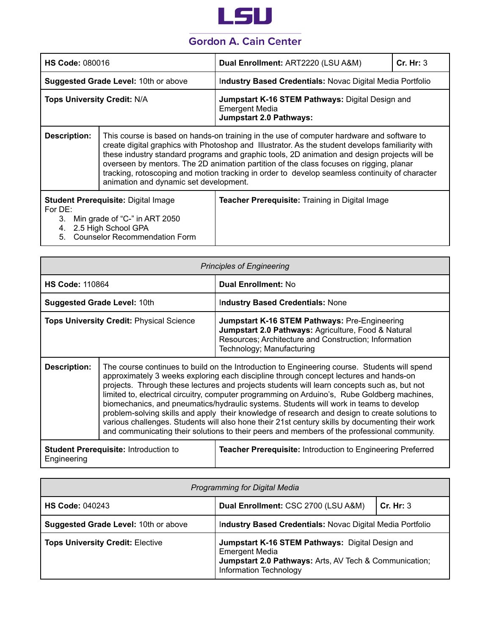

| <b>HS Code: 080016</b>                                                                                                                                                 |                                                                                                                                                                                                                                                                                                                                                                                                                                                                                                                                      | Dual Enrollment: ART2220 (LSU A&M)                                                                          | Cr. Hr: 3 |
|------------------------------------------------------------------------------------------------------------------------------------------------------------------------|--------------------------------------------------------------------------------------------------------------------------------------------------------------------------------------------------------------------------------------------------------------------------------------------------------------------------------------------------------------------------------------------------------------------------------------------------------------------------------------------------------------------------------------|-------------------------------------------------------------------------------------------------------------|-----------|
| Suggested Grade Level: 10th or above                                                                                                                                   |                                                                                                                                                                                                                                                                                                                                                                                                                                                                                                                                      | Industry Based Credentials: Novac Digital Media Portfolio                                                   |           |
| <b>Tops University Credit: N/A</b>                                                                                                                                     |                                                                                                                                                                                                                                                                                                                                                                                                                                                                                                                                      | Jumpstart K-16 STEM Pathways: Digital Design and<br><b>Emergent Media</b><br><b>Jumpstart 2.0 Pathways:</b> |           |
| <b>Description:</b>                                                                                                                                                    | This course is based on hands-on training in the use of computer hardware and software to<br>create digital graphics with Photoshop and Illustrator. As the student develops familiarity with<br>these industry standard programs and graphic tools, 2D animation and design projects will be<br>overseen by mentors. The 2D animation partition of the class focuses on rigging, planar<br>tracking, rotoscoping and motion tracking in order to develop seamless continuity of character<br>animation and dynamic set development. |                                                                                                             |           |
| <b>Student Prerequisite: Digital Image</b><br>For $DE:$<br>3. Min grade of "C-" in ART 2050<br>2.5 High School GPA<br>4.<br><b>Counselor Recommendation Form</b><br>5. |                                                                                                                                                                                                                                                                                                                                                                                                                                                                                                                                      | Teacher Prerequisite: Training in Digital Image                                                             |           |

|                                                                                                                                   | <b>Principles of Engineering</b>                                                                                                                                                                                                                                                                                                                                                                                                                                                                                                                                                                                                                                                                                                                                                   |                                                                                                                                                                                                   |  |
|-----------------------------------------------------------------------------------------------------------------------------------|------------------------------------------------------------------------------------------------------------------------------------------------------------------------------------------------------------------------------------------------------------------------------------------------------------------------------------------------------------------------------------------------------------------------------------------------------------------------------------------------------------------------------------------------------------------------------------------------------------------------------------------------------------------------------------------------------------------------------------------------------------------------------------|---------------------------------------------------------------------------------------------------------------------------------------------------------------------------------------------------|--|
| <b>HS Code: 110864</b>                                                                                                            |                                                                                                                                                                                                                                                                                                                                                                                                                                                                                                                                                                                                                                                                                                                                                                                    | <b>Dual Enrollment: No</b>                                                                                                                                                                        |  |
|                                                                                                                                   | <b>Suggested Grade Level: 10th</b>                                                                                                                                                                                                                                                                                                                                                                                                                                                                                                                                                                                                                                                                                                                                                 | <b>Industry Based Credentials: None</b>                                                                                                                                                           |  |
| <b>Tops University Credit: Physical Science</b>                                                                                   |                                                                                                                                                                                                                                                                                                                                                                                                                                                                                                                                                                                                                                                                                                                                                                                    | <b>Jumpstart K-16 STEM Pathways: Pre-Engineering</b><br>Jumpstart 2.0 Pathways: Agriculture, Food & Natural<br>Resources; Architecture and Construction; Information<br>Technology; Manufacturing |  |
| <b>Description:</b>                                                                                                               | The course continues to build on the Introduction to Engineering course. Students will spend<br>approximately 3 weeks exploring each discipline through concept lectures and hands-on<br>projects. Through these lectures and projects students will learn concepts such as, but not<br>limited to, electrical circuitry, computer programming on Arduino's, Rube Goldberg machines,<br>biomechanics, and pneumatics/hydraulic systems. Students will work in teams to develop<br>problem-solving skills and apply their knowledge of research and design to create solutions to<br>various challenges. Students will also hone their 21st century skills by documenting their work<br>and communicating their solutions to their peers and members of the professional community. |                                                                                                                                                                                                   |  |
| <b>Student Prerequisite: Introduction to</b><br><b>Teacher Prerequisite: Introduction to Engineering Preferred</b><br>Engineering |                                                                                                                                                                                                                                                                                                                                                                                                                                                                                                                                                                                                                                                                                                                                                                                    |                                                                                                                                                                                                   |  |

| Programming for Digital Media           |                                                                                                                                                               |           |  |
|-----------------------------------------|---------------------------------------------------------------------------------------------------------------------------------------------------------------|-----------|--|
| <b>HS Code: 040243</b>                  | Dual Enrollment: CSC 2700 (LSU A&M)                                                                                                                           | Cr. Hr: 3 |  |
| Suggested Grade Level: 10th or above    | Industry Based Credentials: Novac Digital Media Portfolio                                                                                                     |           |  |
| <b>Tops University Credit: Elective</b> | Jumpstart K-16 STEM Pathways: Digital Design and<br><b>Emergent Media</b><br>Jumpstart 2.0 Pathways: Arts, AV Tech & Communication;<br>Information Technology |           |  |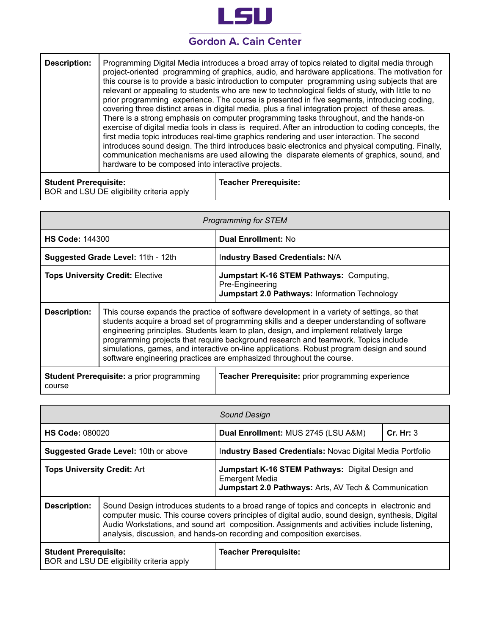

| <b>Description:</b> | Programming Digital Media introduces a broad array of topics related to digital media through<br>project-oriented programming of graphics, audio, and hardware applications. The motivation for<br>this course is to provide a basic introduction to computer programming using subjects that are<br>relevant or appealing to students who are new to technological fields of study, with little to no<br>prior programming experience. The course is presented in five segments, introducing coding,<br>covering three distinct areas in digital media, plus a final integration project of these areas.<br>There is a strong emphasis on computer programming tasks throughout, and the hands-on<br>exercise of digital media tools in class is required. After an introduction to coding concepts, the<br>first media topic introduces real-time graphics rendering and user interaction. The second<br>introduces sound design. The third introduces basic electronics and physical computing. Finally,<br>communication mechanisms are used allowing the disparate elements of graphics, sound, and<br>hardware to be composed into interactive projects. |
|---------------------|----------------------------------------------------------------------------------------------------------------------------------------------------------------------------------------------------------------------------------------------------------------------------------------------------------------------------------------------------------------------------------------------------------------------------------------------------------------------------------------------------------------------------------------------------------------------------------------------------------------------------------------------------------------------------------------------------------------------------------------------------------------------------------------------------------------------------------------------------------------------------------------------------------------------------------------------------------------------------------------------------------------------------------------------------------------------------------------------------------------------------------------------------------------|
|---------------------|----------------------------------------------------------------------------------------------------------------------------------------------------------------------------------------------------------------------------------------------------------------------------------------------------------------------------------------------------------------------------------------------------------------------------------------------------------------------------------------------------------------------------------------------------------------------------------------------------------------------------------------------------------------------------------------------------------------------------------------------------------------------------------------------------------------------------------------------------------------------------------------------------------------------------------------------------------------------------------------------------------------------------------------------------------------------------------------------------------------------------------------------------------------|

| <b>Student Prerequisite:</b>              | Teacher Prerequisite: |
|-------------------------------------------|-----------------------|
| BOR and LSU DE eligibility criteria apply |                       |

| Programming for STEM                                                                                             |                                                                                                                                                                                                                                                                                                                                                                                                                                                                                                                                              |                                                                                                                      |  |
|------------------------------------------------------------------------------------------------------------------|----------------------------------------------------------------------------------------------------------------------------------------------------------------------------------------------------------------------------------------------------------------------------------------------------------------------------------------------------------------------------------------------------------------------------------------------------------------------------------------------------------------------------------------------|----------------------------------------------------------------------------------------------------------------------|--|
| <b>HS Code: 144300</b>                                                                                           |                                                                                                                                                                                                                                                                                                                                                                                                                                                                                                                                              | <b>Dual Enrollment: No</b>                                                                                           |  |
| Suggested Grade Level: 11th - 12th                                                                               |                                                                                                                                                                                                                                                                                                                                                                                                                                                                                                                                              | Industry Based Credentials: N/A                                                                                      |  |
| <b>Tops University Credit: Elective</b>                                                                          |                                                                                                                                                                                                                                                                                                                                                                                                                                                                                                                                              | Jumpstart K-16 STEM Pathways: Computing,<br>Pre-Engineering<br><b>Jumpstart 2.0 Pathways: Information Technology</b> |  |
| <b>Description:</b>                                                                                              | This course expands the practice of software development in a variety of settings, so that<br>students acquire a broad set of programming skills and a deeper understanding of software<br>engineering principles. Students learn to plan, design, and implement relatively large<br>programming projects that require background research and teamwork. Topics include<br>simulations, games, and interactive on-line applications. Robust program design and sound<br>software engineering practices are emphasized throughout the course. |                                                                                                                      |  |
| Teacher Prerequisite: prior programming experience<br><b>Student Prerequisite: a prior programming</b><br>course |                                                                                                                                                                                                                                                                                                                                                                                                                                                                                                                                              |                                                                                                                      |  |

| Sound Design                                                                                              |                                                                                                                                                                                                                                                                                                                                                                           |                                                                                                                                    |           |
|-----------------------------------------------------------------------------------------------------------|---------------------------------------------------------------------------------------------------------------------------------------------------------------------------------------------------------------------------------------------------------------------------------------------------------------------------------------------------------------------------|------------------------------------------------------------------------------------------------------------------------------------|-----------|
| <b>HS Code: 080020</b>                                                                                    |                                                                                                                                                                                                                                                                                                                                                                           | Dual Enrollment: MUS 2745 (LSU A&M)                                                                                                | Cr. Hr: 3 |
| <b>Suggested Grade Level: 10th or above</b>                                                               |                                                                                                                                                                                                                                                                                                                                                                           | Industry Based Credentials: Novac Digital Media Portfolio                                                                          |           |
| <b>Tops University Credit: Art</b>                                                                        |                                                                                                                                                                                                                                                                                                                                                                           | Jumpstart K-16 STEM Pathways: Digital Design and<br><b>Emergent Media</b><br>Jumpstart 2.0 Pathways: Arts, AV Tech & Communication |           |
| <b>Description:</b>                                                                                       | Sound Design introduces students to a broad range of topics and concepts in electronic and<br>computer music. This course covers principles of digital audio, sound design, synthesis, Digital<br>Audio Workstations, and sound art composition. Assignments and activities include listening,<br>analysis, discussion, and hands-on recording and composition exercises. |                                                                                                                                    |           |
| <b>Teacher Prerequisite:</b><br><b>Student Prerequisite:</b><br>BOR and LSU DE eligibility criteria apply |                                                                                                                                                                                                                                                                                                                                                                           |                                                                                                                                    |           |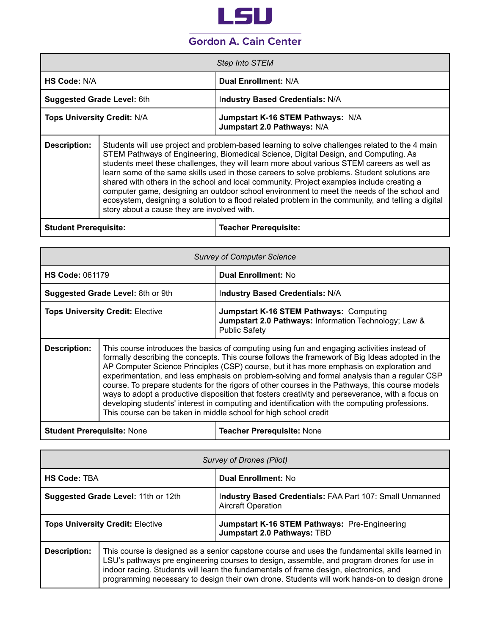

|                                    | Step Into STEM                                                   |
|------------------------------------|------------------------------------------------------------------|
| HS Code: N/A                       | Dual Enrollment: N/A                                             |
| <b>Suggested Grade Level: 6th</b>  | Industry Based Credentials: N/A                                  |
| <b>Tops University Credit: N/A</b> | Jumpstart K-16 STEM Pathways: N/A<br>Jumpstart 2.0 Pathways: N/A |

**Description:** Students will use project and problem-based learning to solve challenges related to the 4 main STEM Pathways of Engineering, Biomedical Science, Digital Design, and Computing. As students meet these challenges, they will learn more about various STEM careers as well as learn some of the same skills used in those careers to solve problems. Student solutions are shared with others in the school and local community. Project examples include creating a computer game, designing an outdoor school environment to meet the needs of the school and ecosystem, designing a solution to a flood related problem in the community, and telling a digital story about a cause they are involved with.

| <b>Student Prerequisite:</b> | Teacher Prerequisite: |
|------------------------------|-----------------------|
|                              |                       |

| <b>Survey of Computer Science</b>       |                                                                                                                                                                                                                                                                                                                                                                                                                                                                                                                                                                                                                                                                                                                                                                        |                                                                                                                                 |
|-----------------------------------------|------------------------------------------------------------------------------------------------------------------------------------------------------------------------------------------------------------------------------------------------------------------------------------------------------------------------------------------------------------------------------------------------------------------------------------------------------------------------------------------------------------------------------------------------------------------------------------------------------------------------------------------------------------------------------------------------------------------------------------------------------------------------|---------------------------------------------------------------------------------------------------------------------------------|
| <b>HS Code: 061179</b>                  |                                                                                                                                                                                                                                                                                                                                                                                                                                                                                                                                                                                                                                                                                                                                                                        | <b>Dual Enrollment: No</b>                                                                                                      |
|                                         | Suggested Grade Level: 8th or 9th                                                                                                                                                                                                                                                                                                                                                                                                                                                                                                                                                                                                                                                                                                                                      | Industry Based Credentials: N/A                                                                                                 |
| <b>Tops University Credit: Elective</b> |                                                                                                                                                                                                                                                                                                                                                                                                                                                                                                                                                                                                                                                                                                                                                                        | <b>Jumpstart K-16 STEM Pathways: Computing</b><br>Jumpstart 2.0 Pathways: Information Technology; Law &<br><b>Public Safety</b> |
| <b>Description:</b>                     | This course introduces the basics of computing using fun and engaging activities instead of<br>formally describing the concepts. This course follows the framework of Big Ideas adopted in the<br>AP Computer Science Principles (CSP) course, but it has more emphasis on exploration and<br>experimentation, and less emphasis on problem-solving and formal analysis than a regular CSP<br>course. To prepare students for the rigors of other courses in the Pathways, this course models<br>ways to adopt a productive disposition that fosters creativity and perseverance, with a focus on<br>developing students' interest in computing and identification with the computing professions.<br>This course can be taken in middle school for high school credit |                                                                                                                                 |

| Student Prerequisite: None | <b>Teacher Prerequisite: None</b> |
|----------------------------|-----------------------------------|
|----------------------------|-----------------------------------|

| <b>Survey of Drones (Pilot)</b>         |                                                                                                                                                                                                                                                                                                                                                                                      |                                                                                       |
|-----------------------------------------|--------------------------------------------------------------------------------------------------------------------------------------------------------------------------------------------------------------------------------------------------------------------------------------------------------------------------------------------------------------------------------------|---------------------------------------------------------------------------------------|
| <b>HS Code: TBA</b>                     |                                                                                                                                                                                                                                                                                                                                                                                      | <b>Dual Enrollment: No</b>                                                            |
|                                         | Suggested Grade Level: 11th or 12th                                                                                                                                                                                                                                                                                                                                                  | Industry Based Credentials: FAA Part 107: Small Unmanned<br><b>Aircraft Operation</b> |
| <b>Tops University Credit: Elective</b> |                                                                                                                                                                                                                                                                                                                                                                                      | Jumpstart K-16 STEM Pathways: Pre-Engineering<br>Jumpstart 2.0 Pathways: TBD          |
| <b>Description:</b>                     | This course is designed as a senior capstone course and uses the fundamental skills learned in<br>LSU's pathways pre engineering courses to design, assemble, and program drones for use in<br>indoor racing. Students will learn the fundamentals of frame design, electronics, and<br>programming necessary to design their own drone. Students will work hands-on to design drone |                                                                                       |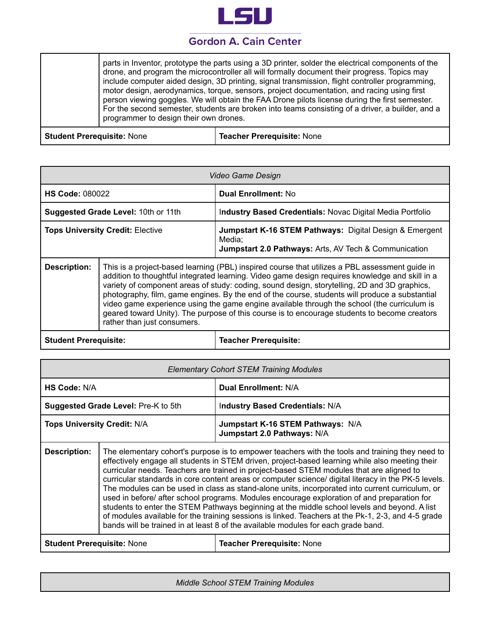

|  |  | parts in Inventor, prototype the parts using a 3D printer, solder the electrical components of the<br>drone, and program the microcontroller all will formally document their progress. Topics may<br>include computer aided design, 3D printing, signal transmission, flight controller programming,<br>motor design, aerodynamics, torque, sensors, project documentation, and racing using first<br>person viewing goggles. We will obtain the FAA Drone pilots license during the first semester.<br>For the second semester, students are broken into teams consisting of a driver, a builder, and a<br>programmer to design their own drones. |
|--|--|-----------------------------------------------------------------------------------------------------------------------------------------------------------------------------------------------------------------------------------------------------------------------------------------------------------------------------------------------------------------------------------------------------------------------------------------------------------------------------------------------------------------------------------------------------------------------------------------------------------------------------------------------------|
|--|--|-----------------------------------------------------------------------------------------------------------------------------------------------------------------------------------------------------------------------------------------------------------------------------------------------------------------------------------------------------------------------------------------------------------------------------------------------------------------------------------------------------------------------------------------------------------------------------------------------------------------------------------------------------|

**Student Prerequisite:** None **Teacher Prerequisite:** None

| Video Game Design                       |                                                                                                                                                                                                                                                                                                                                                                                                                                                                                                                                                                                                                                   |                                                                                                                                                  |
|-----------------------------------------|-----------------------------------------------------------------------------------------------------------------------------------------------------------------------------------------------------------------------------------------------------------------------------------------------------------------------------------------------------------------------------------------------------------------------------------------------------------------------------------------------------------------------------------------------------------------------------------------------------------------------------------|--------------------------------------------------------------------------------------------------------------------------------------------------|
| <b>HS Code: 080022</b>                  |                                                                                                                                                                                                                                                                                                                                                                                                                                                                                                                                                                                                                                   | <b>Dual Enrollment: No</b>                                                                                                                       |
|                                         | Suggested Grade Level: 10th or 11th                                                                                                                                                                                                                                                                                                                                                                                                                                                                                                                                                                                               | Industry Based Credentials: Novac Digital Media Portfolio                                                                                        |
| <b>Tops University Credit: Elective</b> |                                                                                                                                                                                                                                                                                                                                                                                                                                                                                                                                                                                                                                   | <b>Jumpstart K-16 STEM Pathways: Digital Design &amp; Emergent</b><br>Media;<br><b>Jumpstart 2.0 Pathways: Arts, AV Tech &amp; Communication</b> |
| <b>Description:</b>                     | This is a project-based learning (PBL) inspired course that utilizes a PBL assessment guide in<br>addition to thoughtful integrated learning. Video game design requires knowledge and skill in a<br>variety of component areas of study: coding, sound design, storytelling, 2D and 3D graphics,<br>photography, film, game engines. By the end of the course, students will produce a substantial<br>video game experience using the game engine available through the school (the curriculum is<br>geared toward Unity). The purpose of this course is to encourage students to become creators<br>rather than just consumers. |                                                                                                                                                  |

**Student Prerequisite: Teacher Prerequisite:**

| <b>Elementary Cohort STEM Training Modules</b> |                                                                                                                                                                                                                                                                                                                                                                                                                                                                                                                                                                                                                                                                                                                                                                                                                                                                                                     |                                                                  |
|------------------------------------------------|-----------------------------------------------------------------------------------------------------------------------------------------------------------------------------------------------------------------------------------------------------------------------------------------------------------------------------------------------------------------------------------------------------------------------------------------------------------------------------------------------------------------------------------------------------------------------------------------------------------------------------------------------------------------------------------------------------------------------------------------------------------------------------------------------------------------------------------------------------------------------------------------------------|------------------------------------------------------------------|
| HS Code: N/A                                   |                                                                                                                                                                                                                                                                                                                                                                                                                                                                                                                                                                                                                                                                                                                                                                                                                                                                                                     | <b>Dual Enrollment: N/A</b>                                      |
|                                                | Suggested Grade Level: Pre-K to 5th                                                                                                                                                                                                                                                                                                                                                                                                                                                                                                                                                                                                                                                                                                                                                                                                                                                                 | Industry Based Credentials: N/A                                  |
| <b>Tops University Credit: N/A</b>             |                                                                                                                                                                                                                                                                                                                                                                                                                                                                                                                                                                                                                                                                                                                                                                                                                                                                                                     | Jumpstart K-16 STEM Pathways: N/A<br>Jumpstart 2.0 Pathways: N/A |
| <b>Description:</b>                            | The elementary cohort's purpose is to empower teachers with the tools and training they need to<br>effectively engage all students in STEM driven, project-based learning while also meeting their<br>curricular needs. Teachers are trained in project-based STEM modules that are aligned to<br>curricular standards in core content areas or computer science/ digital literacy in the PK-5 levels.<br>The modules can be used in class as stand-alone units, incorporated into current curriculum, or<br>used in before/ after school programs. Modules encourage exploration of and preparation for<br>students to enter the STEM Pathways beginning at the middle school levels and beyond. A list<br>of modules available for the training sessions is linked. Teachers at the Pk-1, 2-3, and 4-5 grade<br>bands will be trained in at least 8 of the available modules for each grade band. |                                                                  |
| <b>Student Prerequisite: None</b>              |                                                                                                                                                                                                                                                                                                                                                                                                                                                                                                                                                                                                                                                                                                                                                                                                                                                                                                     | <b>Teacher Prerequisite: None</b>                                |

*Middle School STEM Training Modules*